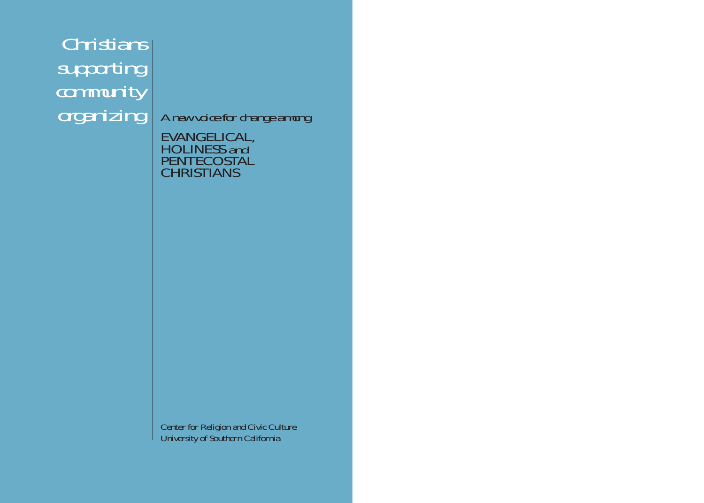*Christians supporting community organizing A new voice for change among*

EVANGELICAL, HOLINESS *and* PENTECOSTAL CHRISTIANS

Center for Religion and Civic Culture University of Southern California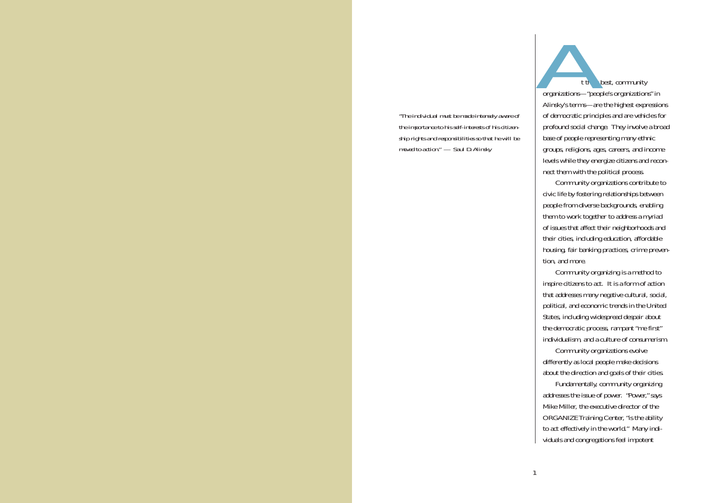*"The individual must be made intensely aware of the importance to his self-interests of his citizenship rights and responsibilities so that he will be moved to action." — Saul D.Alinsky*

t their best, community organizations—"people's organizations" in Alinsky's terms—are the highest expressions of democratic principles and are vehicles for profound social change. They involve a broad base of people representing many ethnic groups, religions, ages, careers, and income levels while they energize citizens and reconnect them with the political process. *A*

Community organizations contribute to civic life by fostering relationships between people from diverse backgrounds, enabling them to work together to address a myriad of issues that affect their neighborhoods and their cities, including education, affordable housing, fair banking practices, crime prevention, and more.

Community organizing is a method to inspire citizens to act. It is a form of action that addresses many negative cultural, social, political, and economic trends in the United States, including widespread despair about the democratic process, rampant "me first" individualism, and a culture of consumerism.

Community organizations evolve differently as local people make decisions about the direction and goals of their cities.

Fundamentally, community organizing addresses the issue of power. "Power," says Mike Miller, the executive director of the ORGANIZE Training Center, "is the ability to act effectively in the world." Many individuals and congregations feel impotent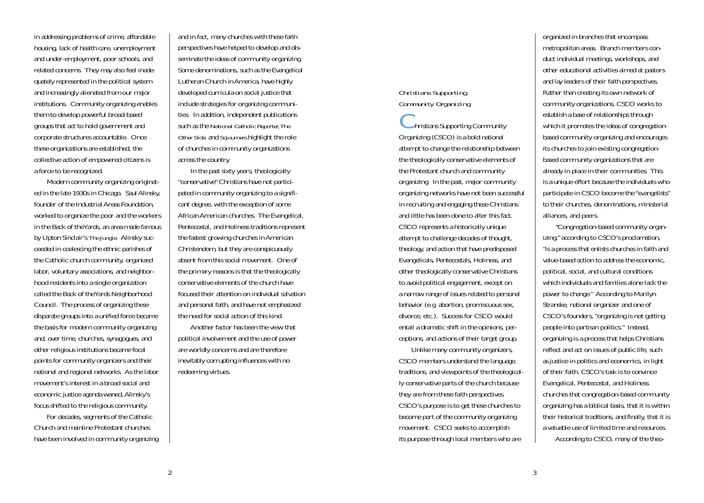in addressing problems of crime, affordable housing, lack of health care, unemployment and under-employment, poor schools, and related concerns. They may also feel inade quately represented in the political system and increasingly alienated from our major institutions. Community organizing enables them to develop powerful broad-based groups that act to hold government and corporate structures accountable. Once these organizations are established, the collective action of empowered citizens is a force to be recognized.

Modern community organizing originat ed in the late 1930s in Chicago. Saul Alinsky, founder of the Industrial Areas Foundation, worked to organize the poor and the workers in the Back of the Yards, an area made famous by Upton Sinclair's *The Jungle.* Alinsky suc ceeded in coalescing the ethnic parishes of the Catholic church community, organized labor, voluntary associations, and neighbor hood residents into a single organization called the Back of the Yards Neighborhood Council. The process of organizing these disparate groups into a unified force became the basis for modern community organizing and, over time, churches, synagogues, and other religious institutions became focal points for community organizers and their national and regional networks. As the labor movement's interest in a broad social and economic justice agenda waned, Alinsky's focus shifted to the religious community. in addressing problems of crima, affordable<br>
and in fact, marrop than that, marrow these for distinguishable to develop and distinguishes are both these first three induces were happen and distinguished concerts. They may

For decades, segments of the Catholic Church and mainline Protestant churches

# *Christians Supporting Community Organizing*

 $\blacktriangleright$  hristians Supporting Community Organizing (CSCO) is a bold national attempt to change the relationship between the theologically conservative elements of the Protestant church and community organizing. In the past, major community organizing networks have not been successful in recruiting and engaging these Christians and little has been done to alter this fact. CSCO represents a historically unique attempt to challenge decades of thought, theology, and action that have predisposed Evangelicals, Pentecostals, Holiness, and other theologically conservative Christians to avoid political engagement, except on a narrow range of issues related to personal behavior (e.g. abortion, promiscuous sex, divorce, etc.). Success for CSCO would entail a dramatic shift in the opinions, perceptions, and actions of their target group.

Unlike many community organizers, CSCO members understand the language, traditions, and viewpoints of the theologically conservative parts of the church because they are from these faith perspectives. CSCO's purpose is to get these churches to become part of the community organizing movement. CSCO seeks to accomplish its purpose through local members who are

organized in branches that encompass metropolitan areas. Branch members conduct individual meetings, workshops, and other educational activities aimed at pastors and lay leaders of their faith perspectives. Rather than creating its own network of community organizations, CSCO works to establish a base of relationships through which it promotes the ideas of congregationbased community organizing and encourages its churches to join existing congregationbased community organizations that are already in place in their communities. This is a unique effort because the individuals who participate in CSCO become the "evangelists" to their churches, denominations, ministerial alliances, and peers.

"Congregation-based community organizing," according to CSCO's proclamation, "is a process that enlists churches in faith and value-based action to address the economic, political, social, and cultural conditions which individuals and families alone lack the power to change." According to Marilyn Stranske, national organizer and one of CSCO's founders, "organizing is not getting people into partisan politics." Instead, organizing is a process that helps Christians reflect and act on issues of public life, such as justice in politics and economics, in light of their faith. CSCO's task is to convince Evangelical, Pentecostal, and Holiness churches that congregation-based community organizing has a biblical basis, that it is within their historical traditions, and finally, that it is a valuable use of limited time and resources. According to CSCO, many of the theo-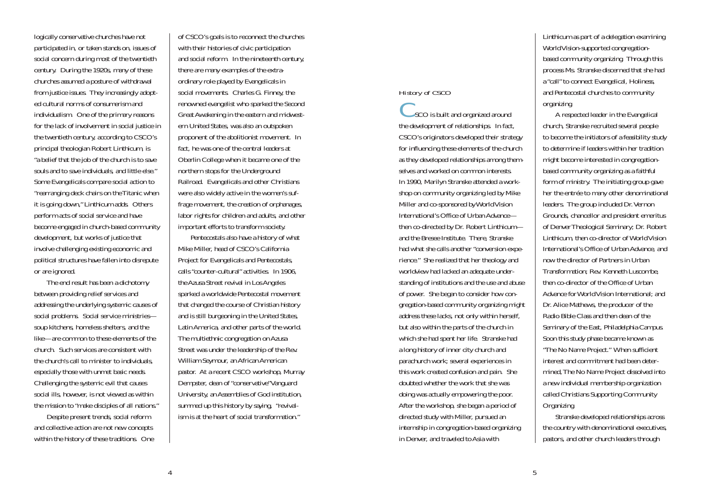logically conservative churches have not participated in, or taken stands on, issues of social concern during most of the twentieth century. During the 1920s, many of these churches assumed a posture of withdrawal from justice issues. They increasingly adopted cultural norms of consumerism and individualism. One of the primary reasons for the lack of involvement in social justice in the twentieth century, according to CSCO's principal theologian Robert Linthicum, is "a belief that the job of the church is to save souls and to save individuals, and little else." Some Evangelicals compare social action to "rearranging deck chairs on the Titanic when it is going down," Linthicum adds. Others perform acts of social service and have become engaged in church-based community development, but works of justice that involve challenging existing economic and political structures have fallen into disrepute or are ignored.

The end result has been a dichotomy between providing relief services and addressing the underlying systemic causes of social problems. Social service ministries soup kitchens, homeless shelters, and the like—are common to these elements of the church. Such services are consistent with the church's call to minister to individuals, especially those with unmet basic needs. Challenging the systemic evil that causes social ills, however, is not viewed as within the mission to "make disciples of all nations."

Despite present trends, social reform and collective action are not new concepts within the history of these traditions. One of CSCO's goals is to reconnect the churches with their histories of civic participation and social reform. In the nineteenth century, there are many examples of the extraordinary role played by Evangelicals in social movements. Charles G. Finney, the renowned evangelist who sparked the Second Great Awakening in the eastern and midwestern United States, was also an outspoken proponent of the abolitionist movement. In fact, he was one of the central leaders at Oberlin College when it became one of the northern stops for the Underground Railroad. Evangelicals and other Christians were also widely active in the women's suffrage movement, the creation of orphanages, labor rights for children and adults, and other important efforts to transform society.

Pentecostals also have a history of what Mike Miller, head of CSCO's California Project for Evangelicals and Pentecostals, calls "counter-cultural" activities. In 1906, the Azusa Street revival in Los Angeles sparked a worldwide Pentecostal movement that changed the course of Christian history and is still burgeoning in the United States, Latin America, and other parts of the world. The multiethnic congregation on Azusa Street was under the leadership of the Rev. William Seymour, an African American pastor. At a recent CSCO workshop, Murray Dempster, dean of "conservative"Vanguard University, an Assemblies of God institution, summed up this history by saying, "revivalism is at the heart of social transformation."

# *History of CSCO*

SCO is built and organized around the development of relationships. In fact, CSCO's originators developed their strategy for influencing these elements of the church as they developed relationships among themselves and worked on common interests. In 1990, Marilyn Stranske attended a workshop on community organizing led by Mike Miller and co-sponsored by World Vision International's Office of Urban Advance then co-directed by Dr. Robert Linthicum and the Bresee Institute. There, Stranske had what she calls another "conversion experience." She realized that her theology and worldview had lacked an adequate understanding of institutions and the use and abuse of power. She began to consider how congregation-based community organizing might address these lacks, not only within herself, but also within the parts of the church in which she had spent her life. Stranske had a long history of inner city church and parachurch work; several experiences in this work created confusion and pain. She doubted whether the work that she was doing was actually empowering the poor. After the workshop, she began a period of directed study with Miller, pursued an internship in congregation-based organizing in Denver, and traveled to Asia with

Linthicum as part of a delegation examining World Vision-supported congregationbased community organizing. Through this process Ms. Stranske discerned that she had a "call" to connect Evangelical, Holiness, and Pentecostal churches to community organizing.

A respected leader in the Evangelical church, Stranske recruited several people to become the initiators of a feasibility study to determine if leaders within her tradition might become interested in congregationbased community organizing as a faithful form of ministry. The initiating group gave her the entrée to many other denominational leaders. The group included Dr. Vernon Grounds, chancellor and president emeritus of Denver Theological Seminary; Dr. Robert Linthicum, then co-director of World Vision International's Office of Urban Advance, and now the director of Partners in Urban Transformation; Rev. Kenneth Luscombe, then co-director of the Office of Urban Advance for World Vision International; and Dr. Alice Mathews, the producer of the Radio Bible Class and then dean of the Seminary of the East, Philadelphia Campus. Soon this study phase became known as "The No Name Project." When sufficient interest and commitment had been determined,The No Name Project dissolved into a new individual membership organization called Christians Supporting Community Organizing.

Stranske developed relationships across the country with denominational executives, pastors, and other church leaders through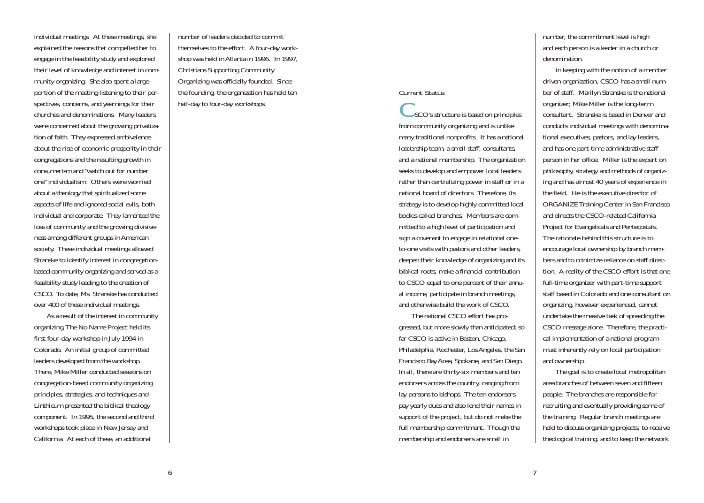individual meetings. At these meetings, she explained the reasons that compelled her to engage in the feasibility study and explored their level of knowledge and interest in community organizing. She also spent a large portion of the meeting listening to their perspectives, concerns, and yearnings for their churches and denominations. Many leaders were concerned about the growing privatization of faith. They expressed ambivalence about the rise of economic prosperity in their congregations and the resulting growth in consumerism and "watch out for number one" individualism. Others were worried about a theology that spiritualized some aspects of life and ignored social evils, both individual and corporate. They lamented the loss of community and the growing divisiveness among different groups in American society. These individual meetings allowed Stranske to identify interest in congregationbased community organizing and served as a feasibility study leading to the creation of CSCO. To date, Ms. Stranske has conducted over 400 of these individual meetings.

As a result of the interest in community organizing,The No Name Project held its first four-day workshop in July 1994 in Colorado. An initial group of committed leaders developed from the workshop. There, Mike Miller conducted sessions on congregation-based community organizing principles, strategies, and techniques and Linthicum presented the biblical theology component. In 1995, the second and third workshops took place in New Jersey and California. At each of these, an additional

number of leaders decided to commit themselves to the effort. A four-day workshop was held in Atlanta in 1996. In 1997, Christians Supporting Community Organizing was officially founded. Since the founding, the organization has held ten half-day to four-day workshops.

#### *Current Status*

 $\angle$  SCO's structure is based on principles from community organizing and is unlike many traditional nonprofits. It has a national leadership team, a small staff, consultants, and a national membership. The organization seeks to develop and empower local leaders rather than centralizing power in staff or in a national board of directors. Therefore, its strategy is to develop highly committed local bodies called branches. Members are committed to a high level of participation and sign a covenant to engage in relational oneto-one visits with pastors and other leaders, deepen their knowledge of organizing and its biblical roots, make a financial contribution to CSCO equal to one percent of their annual income, participate in branch meetings, and otherwise build the work of CSCO.

The national CSCO effort has progressed, but more slowly than anticipated; so far CSCO is active in Boston, Chicago, Philadelphia, Rochester, Los Angeles, the San Francisco Bay Area, Spokane, and San Diego. In all, there are thirty-six members and ten endorsers across the country, ranging from lay persons to bishops. The ten endorsers pay yearly dues and also lend their names in support of the project, but do not make the full membership commitment. Though the membership and endorsers are small in

number, the commitment level is high and each person is a leader in a church or denomination.

In keeping with the notion of a member driven organization, CSCO has a small number of staff. Marilyn Stranske is the national organizer; Mike Miller is the long-term consultant. Stranske is based in Denver and conducts individual meetings with denominational executives, pastors, and lay leaders, and has one part-time administrative staff person in her office. Miller is the expert on philosophy, strategy and methods of organizing and has almost 40 years of experience in the field. He is the executive director of ORGANIZE Training Center in San Francisco and directs the CSCO-related California Project for Evangelicals and Pentecostals. The rationale behind this structure is to encourage local ownership by branch members and to minimize reliance on staff direction. A reality of the CSCO effort is that one full-time organizer with part-time support staff based in Colorado and one consultant on organizing, however experienced, cannot undertake the massive task of spreading the CSCO message alone. Therefore, the practical implementation of a national program must inherently rely on local participation and ownership.

The goal is to create local metropolitan area branches of between seven and fifteen people. The branches are responsible for recruiting and eventually providing some of the training. Regular branch meetings are held to discuss organizing projects, to receive theological training, and to keep the network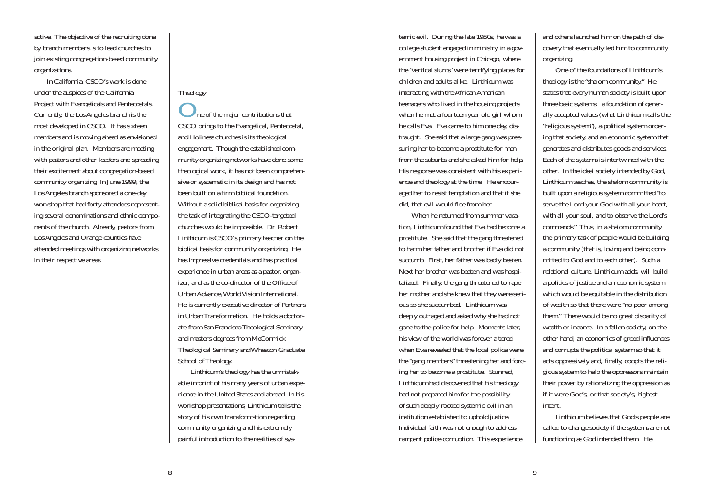active. The objective of the recruiting done by branch members is to lead churches to join existing congregation-based community organizations.

In California, CSCO's work is done under the auspices of the California Project with Evangelicals and Pentecostals. Currently, the Los Angeles branch is the most developed in CSCO. It has sixteen members and is moving ahead as envisioned in the original plan. Members are meeting with pastors and other leaders and spreading their excitement about congregation-based community organizing. In June 1999, the Los Angeles branch sponsored a one-day workshop that had forty attendees representing several denominations and ethnic components of the church. Already, pastors from Los Angeles and Orange counties have attended meetings with organizing networks in their respective areas.

## *Theology*

ne of the major contributions that CSCO brings to the Evangelical, Pentecostal, and Holiness churches is its theological engagement. Though the established community organizing networks have done some theological work, it has not been comprehensive or systematic in its design and has not been built on a firm biblical foundation. Without a solid biblical basis for organizing, the task of integrating the CSCO-targeted churches would be impossible. Dr. Robert Linthicum is CSCO's primary teacher on the biblical basis for community organizing. He has impressive credentials and has practical experience in urban areas as a pastor, organizer, and as the co-director of the Office of Urban Advance,World Vision International. He is currently executive director of Partners in Urban Transformation. He holds a doctorate from San Francisco Theological Seminary and masters degrees from McCormick Theological Seminary and Wheaton Graduate School of Theology.

Linthicum's theology has the unmistakable imprint of his many years of urban experience in the United States and abroad. In his workshop presentations, Linthicum tells the story of his own transformation regarding community organizing and his extremely painful introduction to the realities of sys-

temic evil. During the late 1950s, he was a college student engaged in ministry in a government housing project in Chicago, where the "vertical slums" were terrifying places for children and adults alike. Linthicum was interacting with the African American teenagers who lived in the housing projects when he met a fourteen year old girl whom he calls Eva. Eva came to him one day, distraught. She said that a large gang was pressuring her to become a prostitute for men from the suburbs and she asked him for help. His response was consistent with his experience and theology at the time. He encouraged her to resist temptation and that if she did, that evil would flee from her.

When he returned from summer vacation, Linthicum found that Eva had become a prostitute. She said that the gang threatened to harm her father and brother if Eva did not succumb. First, her father was badly beaten. Next her brother was beaten and was hospitalized. Finally, the gang threatened to rape her mother and she knew that they were serious so she succumbed. Linthicum was deeply outraged and asked why she had not gone to the police for help. Moments later, his view of the world was forever altered when Eva revealed that the local police were the "gang members" threatening her and forcing her to become a prostitute. Stunned, Linthicum had discovered that his theology had not prepared him for the possibility of such deeply rooted systemic evil in an institution established to uphold justice. Individual faith was not enough to address rampant police corruption. This experience

and others launched him on the path of discovery that eventually led him to community organizing.

One of the foundations of Linthicum's theology is the "shalom community." He states that every human society is built upon three basic systems: a foundation of generally accepted values (what Linthicum calls the "religious system"), a political system ordering that society, and an economic system that generates and distributes goods and services. Each of the systems is intertwined with the other. In the ideal society intended by God, Linthicum teaches, the shalom community is built upon a religious system committed "to serve the Lord your God with all your heart, with all your soul, and to observe the Lord's commands." Thus, in a shalom community the primary task of people would be building a community (that is, loving and being committed to God and to each other). Such a relational culture, Linthicum adds, will build a politics of justice and an economic system which would be equitable in the distribution of wealth so that there were "no poor among them." There would be no great disparity of wealth or income. In a fallen society, on the other hand, an economics of greed influences and corrupts the political system so that it acts oppressively and, finally, coopts the religious system to help the oppressors maintain their power by rationalizing the oppression as if it were God's, or that society's, highest intent.

Linthicum believes that God's people are called to change society if the systems are not functioning as God intended them. He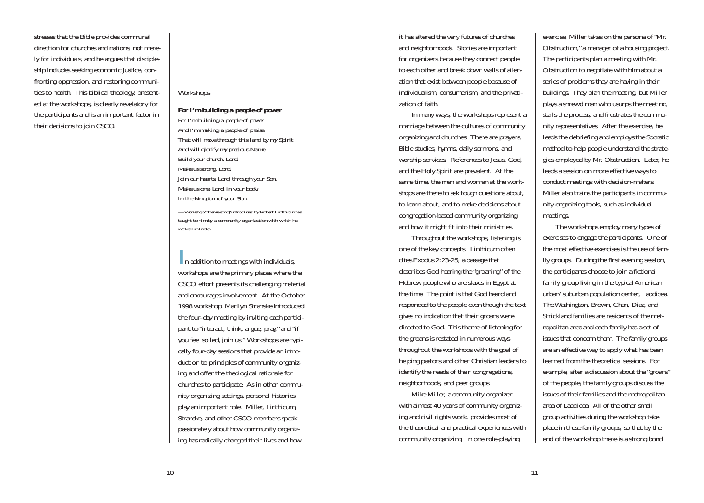stresses that the Bible provides communal direction for churches and nations, not merely for individuals, and he argues that discipleship includes seeking economic justice, confronting oppression, and restoring communities to health. This biblical theology, presented at the workshops, is clearly revelatory for the participants and is an important factor in their decisions to join CSCO.

#### *Workshops*

*For I'm building a people of power For I'm building a people of power And I'm making a people of praise That will move through this land by my Spirit And will glorify my precious Name. Build your church, Lord. Make us strong, Lord. Join our hearts, Lord, through your Son. Make us one, Lord, in your body, In the kingdom of your Son.*

*— Workshop "theme song" introduced by Robert Linthicum as taught to him by a community organization with which he worked in India.*

**In addition to meetings with individuals,** workshops are the primary places where the CSCO effort presents its challenging material and encourages involvement. At the October 1998 workshop, Marilyn Stranske introduced the four-day meeting by inviting each participant to "interact, think, argue, pray," and "if you feel so led, join us." Workshops are typically four-day sessions that provide an introduction to principles of community organizing and offer the theological rationale for churches to participate. As in other community organizing settings, personal histories play an important role. Miller, Linthicum, Stranske, and other CSCO members speak passionately about how community organizing has radically changed their lives and how

it has altered the very futures of churches and neighborhoods. Stories are important for organizers because they connect people to each other and break down walls of alienation that exist between people because of individualism, consumerism, and the privatization of faith.

In many ways, the workshops represent a marriage between the cultures of community organizing and churches. There are prayers, Bible studies, hymns, daily sermons, and worship services. References to Jesus, God, and the Holy Spirit are prevalent. At the same time, the men and women at the workshops are there to ask tough questions about, to learn about, and to make decisions about congregation-based community organizing and how it might fit into their ministries.

Throughout the workshops, listening is one of the key concepts. Linthicum often cites Exodus 2:23-25, a passage that describes God hearing the "groaning" of the Hebrew people who are slaves in Egypt at the time. The point is that God heard and responded to the people even though the text gives no indication that their groans were directed to God. This theme of listening for the groans is restated in numerous ways throughout the workshops with the goal of helping pastors and other Christian leaders to identify the needs of their congregations, neighborhoods, and peer groups.

Mike Miller, a community organizer with almost 40 years of community organizing and civil rights work, provides most of the theoretical and practical experiences with community organizing. In one role-playing

exercise, Miller takes on the persona of "Mr. Obstruction," a manager of a housing project. The participants plan a meeting with Mr. Obstruction to negotiate with him about a series of problems they are having in their buildings. They plan the meeting, but Miller plays a shrewd man who usurps the meeting, stalls the process, and frustrates the community representatives. After the exercise, he leads the debriefing and employs the Socratic method to help people understand the strategies employed by Mr. Obstruction. Later, he leads a session on more effective ways to conduct meetings with decision-makers. Miller also trains the participants in community organizing tools, such as individual meetings.

The workshops employ many types of exercises to engage the participants. One of the most effective exercises is the use of family groups. During the first evening session, the participants choose to join a fictional family group living in the typical American urban/suburban population center, Laodicea. The Washington, Brown, Chan, Diaz, and Strickland families are residents of the metropolitan area and each family has a set of issues that concern them. The family groups are an effective way to apply what has been learned from the theoretical sessions. For example, after a discussion about the "groans" of the people, the family groups discuss the issues of their families and the metropolitan area of Laodicea. All of the other small group activities during the workshop take place in these family groups, so that by the end of the workshop there is a strong bond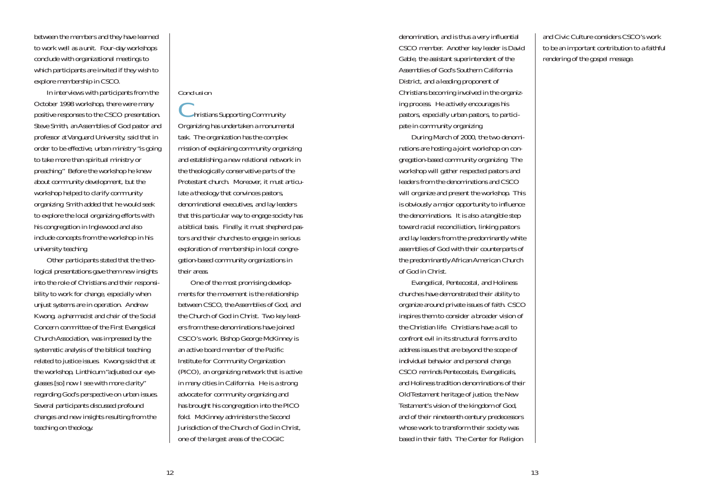between the members and they have learned to work well as a unit. Four-day workshops conclude with organizational meetings to which participants are invited if they wish to explore membership in CSCO.

In interviews with participants from the October 1998 workshop, there were many positive responses to the CSCO presentation. Steve Smith, an Assemblies of God pastor and professor at Vanguard University, said that in order to be effective, urban ministry "is going to take more than spiritual ministry or preaching." Before the workshop he knew about community development, but the workshop helped to clarify community organizing. Smith added that he would seek to explore the local organizing efforts with his congregation in Inglewood and also include concepts from the workshop in his university teaching.

Other participants stated that the theological presentations gave them new insights into the role of Christians and their responsibility to work for change, especially when unjust systems are in operation. Andrew Kwong, a pharmacist and chair of the Social Concern committee of the First Evangelical Church Association, was impressed by the systematic analysis of the biblical teaching related to justice issues. Kwong said that at the workshop, Linthicum "adjusted our eyeglasses [so] now I see with more clarity" regarding God's perspective on urban issues. Several participants discussed profound changes and new insights resulting from the teaching on theology.

### *Conclusion*

 $\blacktriangleright$  hristians Supporting Community Organizing has undertaken a monumental task. The organization has the complex mission of explaining community organizing and establishing a new relational network in the theologically conservative parts of the Protestant church. Moreover, it must articulate a theology that convinces pastors, denominational executives, and lay leaders that this particular way to engage society has a biblical basis. Finally, it must shepherd pastors and their churches to engage in serious exploration of membership in local congregation-based community organizations in their areas.

One of the most promising developments for the movement is the relationship between CSCO, the Assemblies of God, and the Church of God in Christ. Two key leaders from these denominations have joined CSCO's work. Bishop George McKinney is an active board member of the Pacific Institute for Community Organization (PICO), an organizing network that is active in many cities in California. He is a strong advocate for community organizing and has brought his congregation into the PICO fold. McKinney administers the Second Jurisdiction of the Church of God in Christ, one of the largest areas of the COGIC

denomination, and is thus a very influential CSCO member. Another key leader is David Gable, the assistant superintendent of the Assemblies of God's Southern California District, and a leading proponent of Christians becoming involved in the organizing process. He actively encourages his pastors, especially urban pastors, to participate in community organizing.

During March of 2000, the two denominations are hosting a joint workshop on congregation-based community organizing. The workshop will gather respected pastors and leaders from the denominations and CSCO will organize and present the workshop. This is obviously a major opportunity to influence the denominations. It is also a tangible step toward racial reconciliation, linking pastors and lay leaders from the predominantly white assemblies of God with their counterparts of the predominantly African American Church of God in Christ.

Evangelical, Pentecostal, and Holiness churches have demonstrated their ability to organize around private issues of faith. CSCO inspires them to consider a broader vision of the Christian life. Christians have a call to confront evil in its structural forms and to address issues that are beyond the scope of individual behavior and personal change. CSCO reminds Pentecostals, Evangelicals, and Holiness tradition denominations of their Old Testament heritage of justice, the New Testament's vision of the kingdom of God, and of their nineteenth century predecessors whose work to transform their society was based in their faith. The Center for Religion

and Civic Culture considers CSCO's work to be an important contribution to a faithful rendering of the gospel message.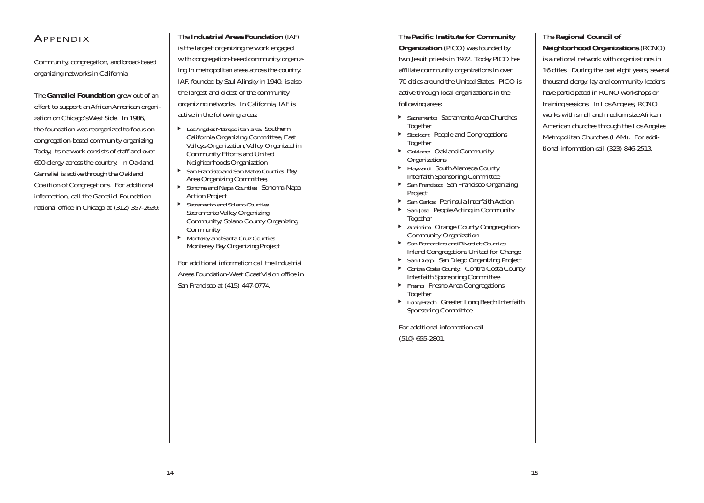# APPENDIX

Community, congregation, and broad-based organizing networks in California

The **Gamaliel Foundation** grew out of an effort to support an African American organization on Chicago's West Side. In 1986, the foundation was reorganized to focus on congregation-based community organizing. Today, its network consists of staff and over 600 clergy across the country. In Oakland, Gamaliel is active through the Oakland Coalition of Congregations. For additional information, call the Gamaliel Foundation national office in Chicago at (312) 357-2639.

The **Industrial Areas Foundation** (IAF) is the largest organizing network engaged with congregation-based community organizing in metropolitan areas across the country. IAF, founded by Saul Alinsky in 1940, is also the largest and oldest of the community organizing networks. In California, IAF is active in the following areas:

- j *Los Angeles Metropolitan area:* Southern California Organizing Committee, East Valleys Organization, Valley Organized in Community Efforts and United Neighborhoods Organization.
- j *San Francisco and San Mateo Counties:* Bay Area Organizing Committee,
- j *Sonoma and Napa Counties:* Sonoma-Napa Action Project
- j *Sacramento and Solano Counties:* Sacramento Valley Organizing Community/Solano County Organizing **Community**
- j *Monterey and Santa Cruz Counties:* Monterey Bay Organizing Project

For additional information call the Industrial Areas Foundation-West Coast Vision office in San Francisco at (415) 447-0774.

The **Pacific Institute for Community Organization** (PICO) was founded by two Jesuit priests in 1972. Today PICO has affiliate community organizations in over 70 cities around the United States. PICO is active through local organizations in the following areas:

- j *Sacramento:* Sacramento Area Churches Together
- ▶ *Stockton:* People and Congregations Together
- ▶ *Oakland:* Oakland Community **Organizations**
- ▶ *Hayward:* South Alameda County Interfaith Sponsoring Committee
- **San Francisco: San Francisco Organizing** Project
- $\blacktriangleright$ *San Carlos:* Peninsula Interfaith Action
- **San Jose: People Acting in Community** Together
- **Anaheim: Orange County Congregation-**Community Organization
- j *San Bernardino and Riverside Counties:* Inland Congregations United for Change
- j *San Diego:* San Diego Organizing Project
- ▶ *Contra Costa County:* Contra Costa County Interfaith Sponsoring Committee
- **Fresno: Fresno Area Congregations** Together
- ▶ *Long Beach:* Greater Long Beach Interfaith Sponsoring Committee

For additional information call (510) 655-2801.

### The **Regional Council of**

**Neighborhood Organizations** (RCNO) is a national network with organizations in 16 cities. During the past eight years, several thousand clergy, lay and community leaders have participated in RCNO workshops or training sessions. In Los Angeles, RCNO works with small and medium size African American churches through the Los Angeles Metropolitan Churches (LAM). For additional information call (323) 846-2513.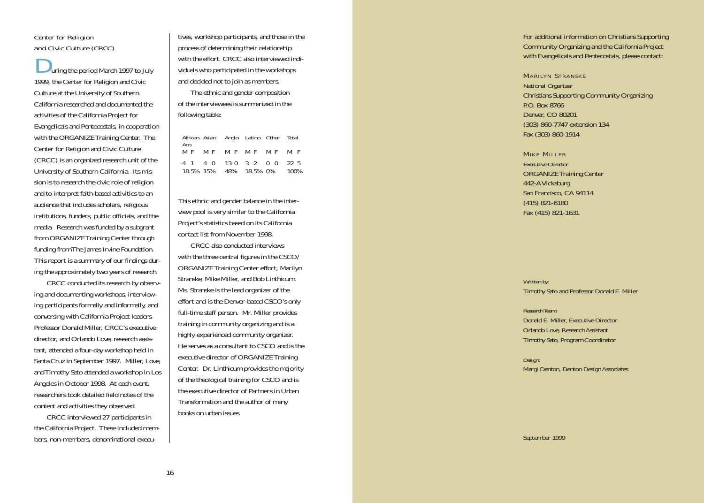#### *Center for Religion and Civic Culture (CRCC)*

uring the period March 1997 to July 1999, the Center for Religion and Civic Culture at the University of Southern California researched and documented the activities of the California Project for Evangelicals and Pentecostals, in cooperation with the ORGANIZE Training Center. The Center for Religion and Civic Culture (CRCC) is an organized research unit of the University of Southern California. Its mission is to research the civic role of religion and to interpret faith-based activities to an audience that includes scholars, religious institutions, funders, public officials, and the media. Research was funded by a subgrant from ORGANIZE Training Center through funding from The James Irvine Foundation. This report is a summary of our findings during the approximately two years of research.

CRCC conducted its research by observing and documenting workshops, interviewing participants formally and informally, and conversing with California Project leaders. Professor Donald Miller, CRCC's executive director, and Orlando Love, research assistant, attended a four-day workshop held in Santa Cruz in September 1997. Miller, Love, and Timothy Sato attended a workshop in Los Angeles in October 1998. At each event, researchers took detailed field notes of the content and activities they observed.

CRCC interviewed 27 participants in the California Project. These included members, non-members, denominational execu-

tives, workshop participants, and those in the process of determining their relationship with the effort. CRCC also interviewed indi viduals who participated in the workshops and decided not to join as members.

The ethnic and gender composition of the interviewees is summarized in the following table:

| Am. | African Asian Anglo Latino Other Total              |  |      |
|-----|-----------------------------------------------------|--|------|
|     | MF MF MF MF MF MF                                   |  |      |
|     | 4 1 4 0 13 0 3 2 0 0<br>18.5% 15% 48% 18.5% 0% 100% |  | 22 5 |

This ethnic and gender balance in the inter view pool is very similar to the California Project's statistics based on its California contact list from November 1998.

 ${\rm CRCC}$  also conducted interviews with the three central figures in the  ${\rm CSCO}/$ ORGANIZE Training Center effort, Marilyn Stranske, Mike Miller, and Bob Linthicum. Ms. Stranske is the lead organizer of the effort and is the Denver-based CSCO's only full-time staff person. Mr. Miller provides training in community organizing and is a highly experienced community organizer. He serves as a consultant to CSCO and is the executive director of ORGANIZE Training Center. Dr. Linthicum provides the majority of the theological training for CSCO and is the executive director of Partners in Urban Transformation and the author of many books on urban issues.

For additional information on Christians Supporting Community Organizing and the California Project with Evangelicals and Pentecostals, please contact:

MARILYN STRANSKE *National Organizer* Christians Supporting Community Organizing P.O. Box 8766 Denver, CO 80201 (303) 860-7747 extension 134 Fax (303) 860-1914

MIKE MILLER *Executive Director* ORGANIZE Training Center 442-A Vicksburg San Francisco, CA 94114 (415) 821-6180 Fax (415) 821-1631

*Written by:* Timothy Sato and Professor Donald E. Miller

*Research Team:* Donald E. Miller, Executive Director Orlando Love, Research Assistant Timothy Sato, Program Coordinator

*Design:* Margi Denton, Denton Design Associates

September 1999